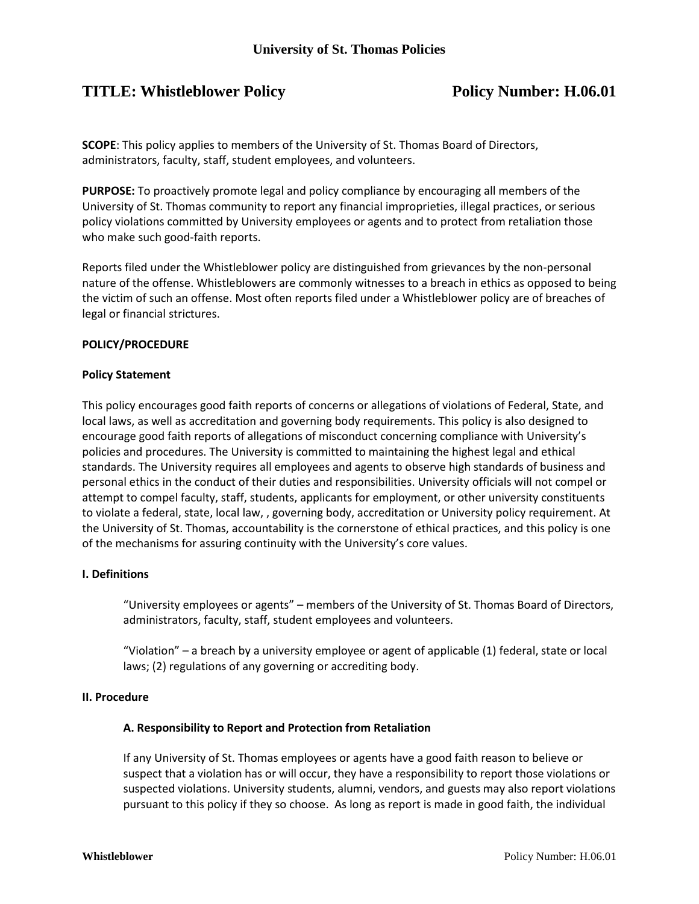# **TITLE:** Whistleblower Policy **Policy Policy Number: H.06.01**

**SCOPE**: This policy applies to members of the University of St. Thomas Board of Directors, administrators, faculty, staff, student employees, and volunteers.

**PURPOSE:** To proactively promote legal and policy compliance by encouraging all members of the University of St. Thomas community to report any financial improprieties, illegal practices, or serious policy violations committed by University employees or agents and to protect from retaliation those who make such good-faith reports.

Reports filed under the Whistleblower policy are distinguished from grievances by the non-personal nature of the offense. Whistleblowers are commonly witnesses to a breach in ethics as opposed to being the victim of such an offense. Most often reports filed under a Whistleblower policy are of breaches of legal or financial strictures.

### **POLICY/PROCEDURE**

### **Policy Statement**

This policy encourages good faith reports of concerns or allegations of violations of Federal, State, and local laws, as well as accreditation and governing body requirements. This policy is also designed to encourage good faith reports of allegations of misconduct concerning compliance with University's policies and procedures. The University is committed to maintaining the highest legal and ethical standards. The University requires all employees and agents to observe high standards of business and personal ethics in the conduct of their duties and responsibilities. University officials will not compel or attempt to compel faculty, staff, students, applicants for employment, or other university constituents to violate a federal, state, local law, , governing body, accreditation or University policy requirement. At the University of St. Thomas, accountability is the cornerstone of ethical practices, and this policy is one of the mechanisms for assuring continuity with the University's core values.

### **I. Definitions**

"University employees or agents" – members of the University of St. Thomas Board of Directors, administrators, faculty, staff, student employees and volunteers.

"Violation" – a breach by a university employee or agent of applicable (1) federal, state or local laws; (2) regulations of any governing or accrediting body.

#### **II. Procedure**

### **A. Responsibility to Report and Protection from Retaliation**

If any University of St. Thomas employees or agents have a good faith reason to believe or suspect that a violation has or will occur, they have a responsibility to report those violations or suspected violations. University students, alumni, vendors, and guests may also report violations pursuant to this policy if they so choose. As long as report is made in good faith, the individual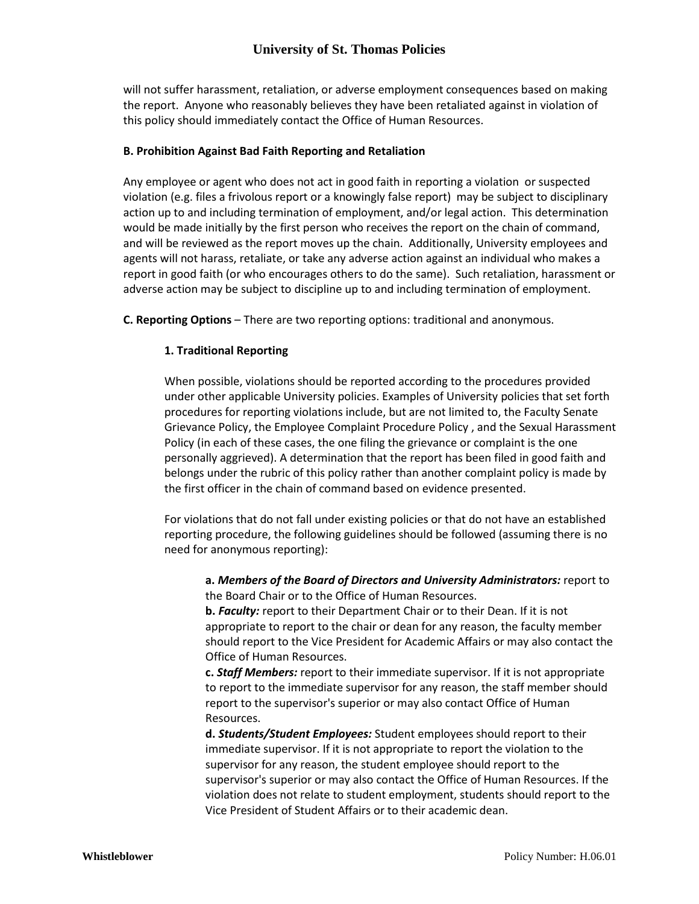# **University of St. Thomas Policies**

will not suffer harassment, retaliation, or adverse employment consequences based on making the report. Anyone who reasonably believes they have been retaliated against in violation of this policy should immediately contact the Office of Human Resources.

### **B. Prohibition Against Bad Faith Reporting and Retaliation**

Any employee or agent who does not act in good faith in reporting a violation or suspected violation (e.g. files a frivolous report or a knowingly false report) may be subject to disciplinary action up to and including termination of employment, and/or legal action. This determination would be made initially by the first person who receives the report on the chain of command, and will be reviewed as the report moves up the chain. Additionally, University employees and agents will not harass, retaliate, or take any adverse action against an individual who makes a report in good faith (or who encourages others to do the same). Such retaliation, harassment or adverse action may be subject to discipline up to and including termination of employment.

**C. Reporting Options** – There are two reporting options: traditional and anonymous.

### **1. Traditional Reporting**

When possible, violations should be reported according to the procedures provided under other applicable University policies. Examples of University policies that set forth procedures for reporting violations include, but are not limited to, the Faculty Senate Grievance Policy, the Employee Complaint Procedure Policy , and the Sexual Harassment Policy (in each of these cases, the one filing the grievance or complaint is the one personally aggrieved). A determination that the report has been filed in good faith and belongs under the rubric of this policy rather than another complaint policy is made by the first officer in the chain of command based on evidence presented.

For violations that do not fall under existing policies or that do not have an established reporting procedure, the following guidelines should be followed (assuming there is no need for anonymous reporting):

**a.** *Members of the Board of Directors and University Administrators:* report to the Board Chair or to the Office of Human Resources.

**b.** *Faculty:* report to their Department Chair or to their Dean. If it is not appropriate to report to the chair or dean for any reason, the faculty member should report to the Vice President for Academic Affairs or may also contact the Office of Human Resources.

**c.** *Staff Members:* report to their immediate supervisor. If it is not appropriate to report to the immediate supervisor for any reason, the staff member should report to the supervisor's superior or may also contact Office of Human Resources.

**d.** *Students/Student Employees:* Student employees should report to their immediate supervisor. If it is not appropriate to report the violation to the supervisor for any reason, the student employee should report to the supervisor's superior or may also contact the Office of Human Resources. If the violation does not relate to student employment, students should report to the Vice President of Student Affairs or to their academic dean.